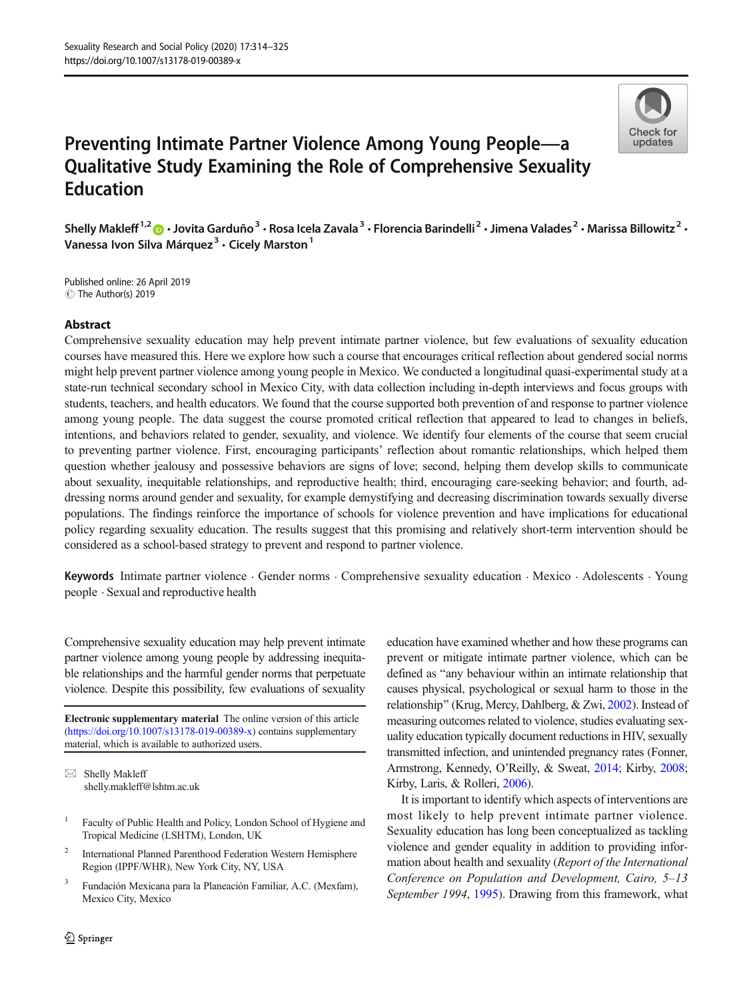# Preventing Intimate Partner Violence Among Young People—a Qualitative Study Examining the Role of Comprehensive Sexuality Education



Shelly Makleff<sup>1,2</sup>  $\cdot$  Jovita Garduño<sup>3</sup>  $\cdot$  Rosa Icela Zavala<sup>3</sup>  $\cdot$  Florencia Barindelli<sup>2</sup>  $\cdot$  Jimena Valades<sup>2</sup>  $\cdot$  Marissa Billowitz<sup>2</sup>  $\cdot$ Vanessa Ivon Silva Márquez<sup>3</sup> · Cicely Marston<sup>1</sup>

C The Author(s) 2019 Published online: 26 April 2019

#### Abstract

Comprehensive sexuality education may help prevent intimate partner violence, but few evaluations of sexuality education courses have measured this. Here we explore how such a course that encourages critical reflection about gendered social norms might help prevent partner violence among young people in Mexico. We conducted a longitudinal quasi-experimental study at a state-run technical secondary school in Mexico City, with data collection including in-depth interviews and focus groups with students, teachers, and health educators. We found that the course supported both prevention of and response to partner violence among young people. The data suggest the course promoted critical reflection that appeared to lead to changes in beliefs, intentions, and behaviors related to gender, sexuality, and violence. We identify four elements of the course that seem crucial to preventing partner violence. First, encouraging participants' reflection about romantic relationships, which helped them question whether jealousy and possessive behaviors are signs of love; second, helping them develop skills to communicate about sexuality, inequitable relationships, and reproductive health; third, encouraging care-seeking behavior; and fourth, addressing norms around gender and sexuality, for example demystifying and decreasing discrimination towards sexually diverse populations. The findings reinforce the importance of schools for violence prevention and have implications for educational policy regarding sexuality education. The results suggest that this promising and relatively short-term intervention should be considered as a school-based strategy to prevent and respond to partner violence.

Keywords Intimate partner violence . Gender norms . Comprehensive sexuality education . Mexico . Adolescents . Young people . Sexual and reproductive health

Comprehensive sexuality education may help prevent intimate partner violence among young people by addressing inequitable relationships and the harmful gender norms that perpetuate violence. Despite this possibility, few evaluations of sexuality

Electronic supplementary material The online version of this article ([https://doi.org/10.1007/s13178-019-00389-x\)](https://doi.org/10.1007/s13178-019-00389-x) contains supplementary material, which is available to authorized users.

- <sup>1</sup> Faculty of Public Health and Policy, London School of Hygiene and Tropical Medicine (LSHTM), London, UK
- <sup>2</sup> International Planned Parenthood Federation Western Hemisphere Region (IPPF/WHR), New York City, NY, USA
- <sup>3</sup> Fundación Mexicana para la Planeación Familiar, A.C. (Mexfam), Mexico City, Mexico

education have examined whether and how these programs can prevent or mitigate intimate partner violence, which can be defined as "any behaviour within an intimate relationship that causes physical, psychological or sexual harm to those in the relationship" (Krug, Mercy, Dahlberg, & Zwi, [2002\)](#page-10-0). Instead of measuring outcomes related to violence, studies evaluating sexuality education typically document reductions in HIV, sexually transmitted infection, and unintended pregnancy rates (Fonner, Armstrong, Kennedy, O'Reilly, & Sweat, [2014](#page-10-0); Kirby, [2008;](#page-10-0) Kirby, Laris, & Rolleri, [2006](#page-10-0)).

It is important to identify which aspects of interventions are most likely to help prevent intimate partner violence. Sexuality education has long been conceptualized as tackling violence and gender equality in addition to providing information about health and sexuality (Report of the International Conference on Population and Development, Cairo, 5–13 September 1994, [1995](#page-11-0)). Drawing from this framework, what

 $\boxtimes$  Shelly Makleff [shelly.makleff@lshtm.ac.uk](mailto:shelly.makleff@lshtm.ac.uk)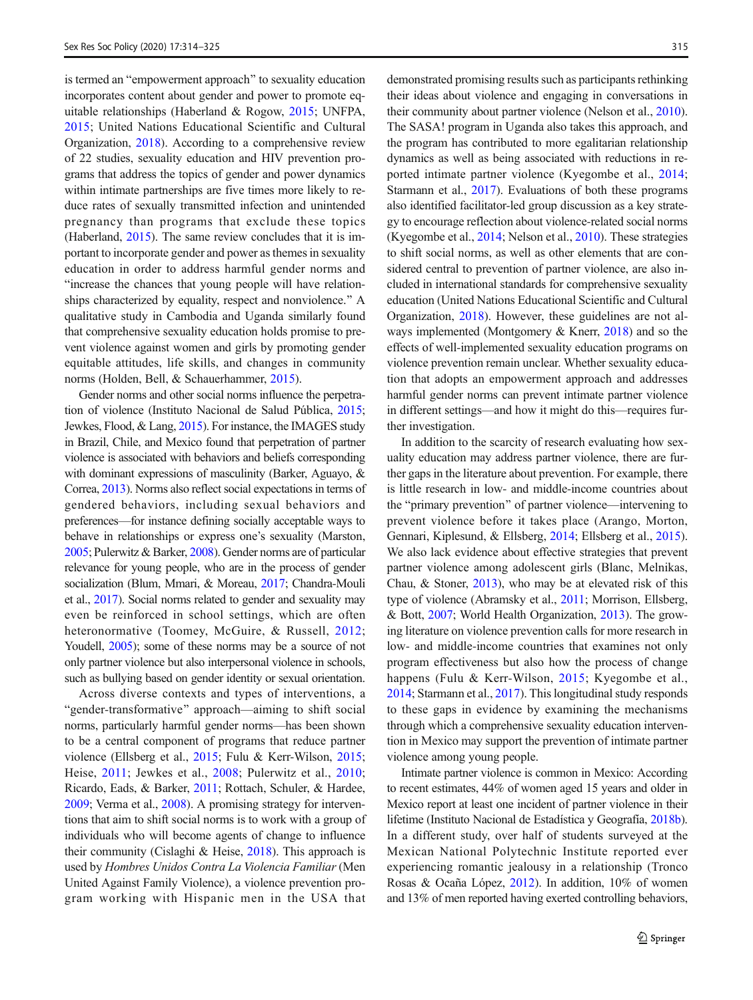is termed an "empowerment approach" to sexuality education incorporates content about gender and power to promote equitable relationships (Haberland & Rogow, [2015;](#page-10-0) UNFPA, [2015](#page-11-0); United Nations Educational Scientific and Cultural Organization, [2018](#page-11-0)). According to a comprehensive review of 22 studies, sexuality education and HIV prevention programs that address the topics of gender and power dynamics within intimate partnerships are five times more likely to reduce rates of sexually transmitted infection and unintended pregnancy than programs that exclude these topics (Haberland, [2015\)](#page-10-0). The same review concludes that it is important to incorporate gender and power as themes in sexuality education in order to address harmful gender norms and "increase the chances that young people will have relationships characterized by equality, respect and nonviolence." A qualitative study in Cambodia and Uganda similarly found that comprehensive sexuality education holds promise to prevent violence against women and girls by promoting gender equitable attitudes, life skills, and changes in community norms (Holden, Bell, & Schauerhammer, [2015](#page-10-0)).

Gender norms and other social norms influence the perpetration of violence (Instituto Nacional de Salud Pública, [2015](#page-10-0); Jewkes, Flood, & Lang, [2015](#page-10-0)). For instance, the IMAGES study in Brazil, Chile, and Mexico found that perpetration of partner violence is associated with behaviors and beliefs corresponding with dominant expressions of masculinity (Barker, Aguayo, & Correa, [2013\)](#page-9-0). Norms also reflect social expectations in terms of gendered behaviors, including sexual behaviors and preferences—for instance defining socially acceptable ways to behave in relationships or express one's sexuality (Marston, [2005](#page-11-0); Pulerwitz & Barker, [2008](#page-11-0)). Gender norms are of particular relevance for young people, who are in the process of gender socialization (Blum, Mmari, & Moreau, [2017](#page-10-0); Chandra-Mouli et al., [2017](#page-10-0)). Social norms related to gender and sexuality may even be reinforced in school settings, which are often heteronormative (Toomey, McGuire, & Russell, [2012](#page-11-0); Youdell, [2005](#page-11-0)); some of these norms may be a source of not only partner violence but also interpersonal violence in schools, such as bullying based on gender identity or sexual orientation.

Across diverse contexts and types of interventions, a "gender-transformative" approach—aiming to shift social norms, particularly harmful gender norms—has been shown to be a central component of programs that reduce partner violence (Ellsberg et al., [2015;](#page-10-0) Fulu & Kerr-Wilson, [2015](#page-10-0); Heise, [2011;](#page-10-0) Jewkes et al., [2008;](#page-10-0) Pulerwitz et al., [2010](#page-11-0); Ricardo, Eads, & Barker, [2011](#page-11-0); Rottach, Schuler, & Hardee, [2009;](#page-11-0) Verma et al., [2008](#page-11-0)). A promising strategy for interventions that aim to shift social norms is to work with a group of individuals who will become agents of change to influence their community (Cislaghi & Heise, [2018](#page-10-0)). This approach is used by Hombres Unidos Contra La Violencia Familiar (Men United Against Family Violence), a violence prevention program working with Hispanic men in the USA that

demonstrated promising results such as participants rethinking their ideas about violence and engaging in conversations in their community about partner violence (Nelson et al., [2010\)](#page-11-0). The SASA! program in Uganda also takes this approach, and the program has contributed to more egalitarian relationship dynamics as well as being associated with reductions in reported intimate partner violence (Kyegombe et al., [2014;](#page-10-0) Starmann et al., [2017\)](#page-11-0). Evaluations of both these programs also identified facilitator-led group discussion as a key strategy to encourage reflection about violence-related social norms (Kyegombe et al., [2014](#page-10-0); Nelson et al., [2010\)](#page-11-0). These strategies to shift social norms, as well as other elements that are considered central to prevention of partner violence, are also included in international standards for comprehensive sexuality education (United Nations Educational Scientific and Cultural Organization, [2018](#page-11-0)). However, these guidelines are not always implemented (Montgomery & Knerr, [2018](#page-11-0)) and so the effects of well-implemented sexuality education programs on violence prevention remain unclear. Whether sexuality education that adopts an empowerment approach and addresses harmful gender norms can prevent intimate partner violence in different settings—and how it might do this—requires further investigation.

In addition to the scarcity of research evaluating how sexuality education may address partner violence, there are further gaps in the literature about prevention. For example, there is little research in low- and middle-income countries about the "primary prevention" of partner violence—intervening to prevent violence before it takes place (Arango, Morton, Gennari, Kiplesund, & Ellsberg, [2014;](#page-9-0) Ellsberg et al., [2015\)](#page-10-0). We also lack evidence about effective strategies that prevent partner violence among adolescent girls (Blanc, Melnikas, Chau, & Stoner, [2013\)](#page-10-0), who may be at elevated risk of this type of violence (Abramsky et al., [2011;](#page-9-0) Morrison, Ellsberg, & Bott, [2007](#page-11-0); World Health Organization, [2013\)](#page-11-0). The growing literature on violence prevention calls for more research in low- and middle-income countries that examines not only program effectiveness but also how the process of change happens (Fulu & Kerr-Wilson, [2015](#page-10-0); Kyegombe et al., [2014;](#page-10-0) Starmann et al., [2017](#page-11-0)). This longitudinal study responds to these gaps in evidence by examining the mechanisms through which a comprehensive sexuality education intervention in Mexico may support the prevention of intimate partner violence among young people.

Intimate partner violence is common in Mexico: According to recent estimates, 44% of women aged 15 years and older in Mexico report at least one incident of partner violence in their lifetime (Instituto Nacional de Estadística y Geografía, [2018b\)](#page-10-0). In a different study, over half of students surveyed at the Mexican National Polytechnic Institute reported ever experiencing romantic jealousy in a relationship (Tronco Rosas & Ocaña López, [2012](#page-11-0)). In addition, 10% of women and 13% of men reported having exerted controlling behaviors,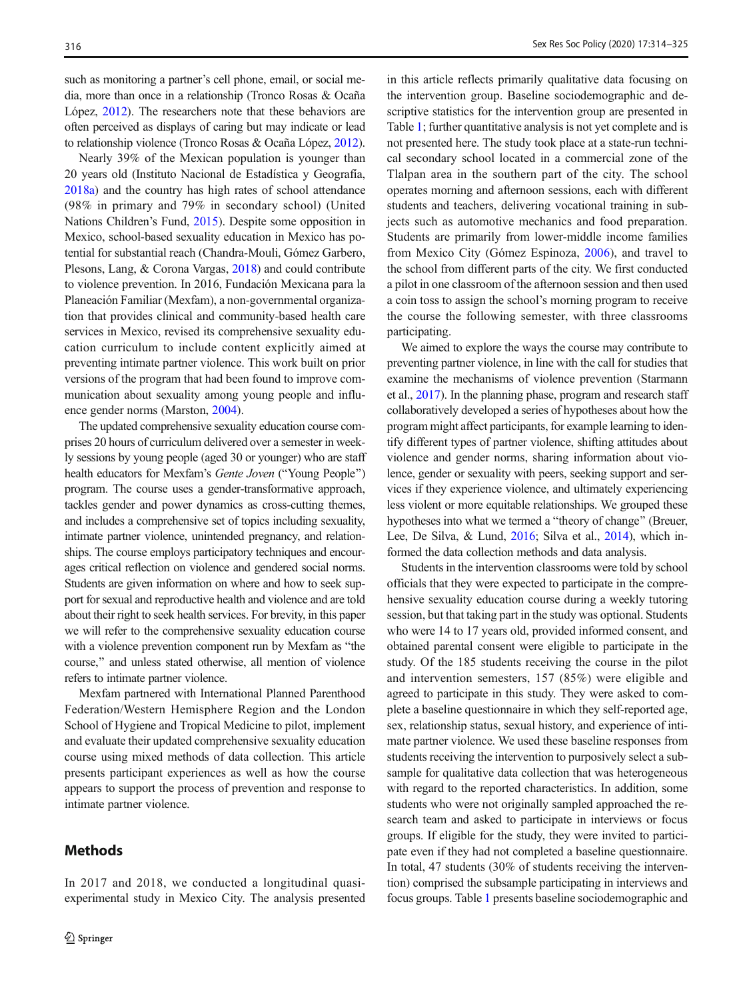such as monitoring a partner's cell phone, email, or social media, more than once in a relationship (Tronco Rosas & Ocaña López, [2012\)](#page-11-0). The researchers note that these behaviors are often perceived as displays of caring but may indicate or lead to relationship violence (Tronco Rosas & Ocaña López, [2012\)](#page-11-0).

Nearly 39% of the Mexican population is younger than 20 years old (Instituto Nacional de Estadística y Geografía, [2018a\)](#page-10-0) and the country has high rates of school attendance (98% in primary and 79% in secondary school) (United Nations Children's Fund, [2015\)](#page-11-0). Despite some opposition in Mexico, school-based sexuality education in Mexico has potential for substantial reach (Chandra-Mouli, Gómez Garbero, Plesons, Lang, & Corona Vargas, [2018](#page-10-0)) and could contribute to violence prevention. In 2016, Fundación Mexicana para la Planeación Familiar (Mexfam), a non-governmental organization that provides clinical and community-based health care services in Mexico, revised its comprehensive sexuality education curriculum to include content explicitly aimed at preventing intimate partner violence. This work built on prior versions of the program that had been found to improve communication about sexuality among young people and influence gender norms (Marston, [2004](#page-10-0)).

The updated comprehensive sexuality education course comprises 20 hours of curriculum delivered over a semester in weekly sessions by young people (aged 30 or younger) who are staff health educators for Mexfam's Gente Joven ("Young People") program. The course uses a gender-transformative approach, tackles gender and power dynamics as cross-cutting themes, and includes a comprehensive set of topics including sexuality, intimate partner violence, unintended pregnancy, and relationships. The course employs participatory techniques and encourages critical reflection on violence and gendered social norms. Students are given information on where and how to seek support for sexual and reproductive health and violence and are told about their right to seek health services. For brevity, in this paper we will refer to the comprehensive sexuality education course with a violence prevention component run by Mexfam as "the course," and unless stated otherwise, all mention of violence refers to intimate partner violence.

Mexfam partnered with International Planned Parenthood Federation/Western Hemisphere Region and the London School of Hygiene and Tropical Medicine to pilot, implement and evaluate their updated comprehensive sexuality education course using mixed methods of data collection. This article presents participant experiences as well as how the course appears to support the process of prevention and response to intimate partner violence.

In 2017 and 2018, we conducted a longitudinal quasiexperimental study in Mexico City. The analysis presented

## **Methods**

in this article reflects primarily qualitative data focusing on the intervention group. Baseline sociodemographic and descriptive statistics for the intervention group are presented in Table [1](#page-3-0); further quantitative analysis is not yet complete and is not presented here. The study took place at a state-run technical secondary school located in a commercial zone of the Tlalpan area in the southern part of the city. The school operates morning and afternoon sessions, each with different students and teachers, delivering vocational training in subjects such as automotive mechanics and food preparation. Students are primarily from lower-middle income families from Mexico City (Gómez Espinoza, [2006\)](#page-10-0), and travel to the school from different parts of the city. We first conducted a pilot in one classroom of the afternoon session and then used a coin toss to assign the school's morning program to receive the course the following semester, with three classrooms participating.

We aimed to explore the ways the course may contribute to preventing partner violence, in line with the call for studies that examine the mechanisms of violence prevention (Starmann et al., [2017](#page-11-0)). In the planning phase, program and research staff collaboratively developed a series of hypotheses about how the program might affect participants, for example learning to identify different types of partner violence, shifting attitudes about violence and gender norms, sharing information about violence, gender or sexuality with peers, seeking support and services if they experience violence, and ultimately experiencing less violent or more equitable relationships. We grouped these hypotheses into what we termed a "theory of change" (Breuer, Lee, De Silva, & Lund, [2016](#page-10-0); Silva et al., [2014\)](#page-11-0), which informed the data collection methods and data analysis.

Students in the intervention classrooms were told by school officials that they were expected to participate in the comprehensive sexuality education course during a weekly tutoring session, but that taking part in the study was optional. Students who were 14 to 17 years old, provided informed consent, and obtained parental consent were eligible to participate in the study. Of the 185 students receiving the course in the pilot and intervention semesters, 157 (85%) were eligible and agreed to participate in this study. They were asked to complete a baseline questionnaire in which they self-reported age, sex, relationship status, sexual history, and experience of intimate partner violence. We used these baseline responses from students receiving the intervention to purposively select a subsample for qualitative data collection that was heterogeneous with regard to the reported characteristics. In addition, some students who were not originally sampled approached the research team and asked to participate in interviews or focus groups. If eligible for the study, they were invited to participate even if they had not completed a baseline questionnaire. In total, 47 students (30% of students receiving the intervention) comprised the subsample participating in interviews and focus groups. Table [1](#page-3-0) presents baseline sociodemographic and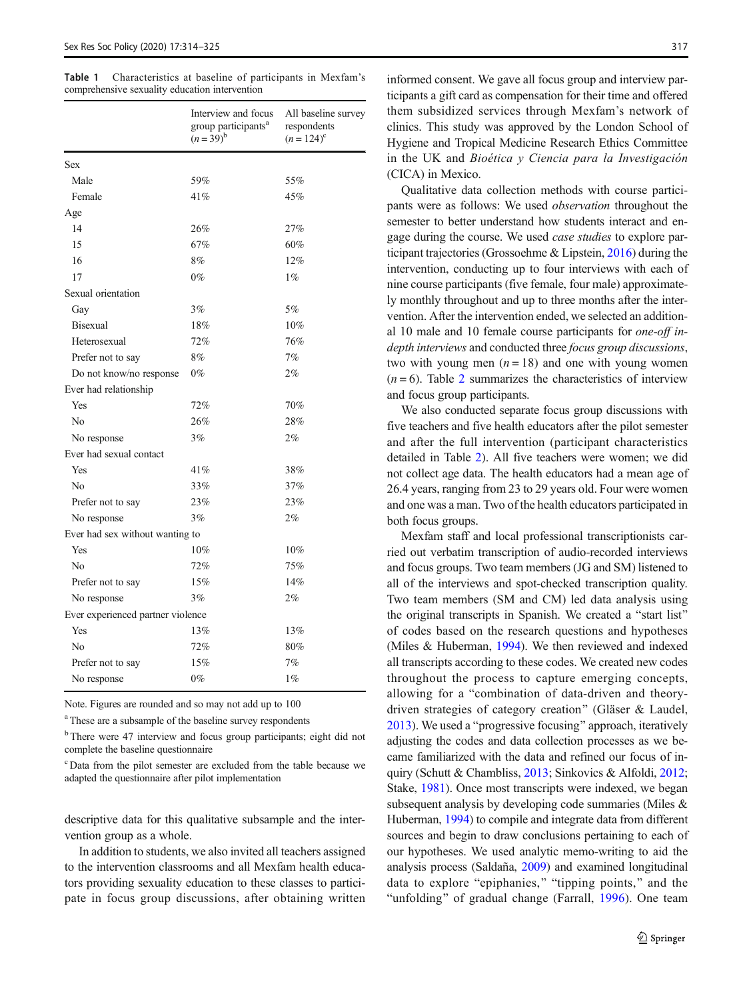<span id="page-3-0"></span>Table 1 Characteristics at baseline of participants in Mexfam's comprehensive sexuality education intervention

|                                   | Interview and focus<br>group participants <sup>a</sup><br>$(n=39)^{b}$ | All baseline survey<br>respondents<br>$(n = 124)^{c}$ |  |
|-----------------------------------|------------------------------------------------------------------------|-------------------------------------------------------|--|
| <b>Sex</b>                        |                                                                        |                                                       |  |
| Male                              | 59%                                                                    | 55%                                                   |  |
| Female                            | 41%                                                                    | 45%                                                   |  |
| Age                               |                                                                        |                                                       |  |
| 14                                | 26%<br>27%                                                             |                                                       |  |
| 15                                | 67%                                                                    | 60%                                                   |  |
| 16                                | 8%                                                                     | 12%                                                   |  |
| 17                                | $0\%$                                                                  | $1\%$                                                 |  |
| Sexual orientation                |                                                                        |                                                       |  |
| Gay                               | 3%                                                                     | 5%                                                    |  |
| <b>Bisexual</b>                   | 18%                                                                    | 10%                                                   |  |
| Heterosexual                      | 72%                                                                    | 76%                                                   |  |
| Prefer not to say                 | 8%                                                                     | 7%                                                    |  |
| Do not know/no response           | $0\%$                                                                  | 2%                                                    |  |
| Ever had relationship             |                                                                        |                                                       |  |
| Yes                               | 72%                                                                    | 70%                                                   |  |
| No                                | 26%                                                                    | 28%                                                   |  |
| No response                       | 3%                                                                     | $2\%$                                                 |  |
| Ever had sexual contact           |                                                                        |                                                       |  |
| Yes                               | 41%                                                                    | 38%                                                   |  |
| N <sub>0</sub>                    | 33%                                                                    | 37%                                                   |  |
| Prefer not to say                 | 23%                                                                    | 23%                                                   |  |
| No response                       | 3%                                                                     | $2\%$                                                 |  |
| Ever had sex without wanting to   |                                                                        |                                                       |  |
| Yes                               | 10%                                                                    | 10%                                                   |  |
| N <sub>0</sub>                    | 72%                                                                    | 75%                                                   |  |
| Prefer not to say                 | 15%                                                                    | 14%                                                   |  |
| No response                       | 3%                                                                     | 2%                                                    |  |
| Ever experienced partner violence |                                                                        |                                                       |  |
| Yes                               | 13%                                                                    | 13%                                                   |  |
| No                                | 72%                                                                    | 80%                                                   |  |
| Prefer not to say                 | 15%                                                                    | 7%                                                    |  |
| No response                       | $0\%$                                                                  | $1\%$                                                 |  |

Note. Figures are rounded and so may not add up to 100

<sup>a</sup> These are a subsample of the baseline survey respondents

<sup>b</sup> There were 47 interview and focus group participants; eight did not complete the baseline questionnaire

c Data from the pilot semester are excluded from the table because we adapted the questionnaire after pilot implementation

descriptive data for this qualitative subsample and the intervention group as a whole.

In addition to students, we also invited all teachers assigned to the intervention classrooms and all Mexfam health educators providing sexuality education to these classes to participate in focus group discussions, after obtaining written

informed consent. We gave all focus group and interview participants a gift card as compensation for their time and offered them subsidized services through Mexfam's network of clinics. This study was approved by the London School of Hygiene and Tropical Medicine Research Ethics Committee in the UK and Bioética y Ciencia para la Investigación (CICA) in Mexico.

Qualitative data collection methods with course participants were as follows: We used observation throughout the semester to better understand how students interact and engage during the course. We used case studies to explore participant trajectories (Grossoehme & Lipstein, [2016\)](#page-10-0) during the intervention, conducting up to four interviews with each of nine course participants (five female, four male) approximately monthly throughout and up to three months after the intervention. After the intervention ended, we selected an additional 10 male and 10 female course participants for one-off indepth interviews and conducted three focus group discussions, two with young men  $(n = 18)$  and one with young women  $(n=6)$ . Table [2](#page-4-0) summarizes the characteristics of interview and focus group participants.

We also conducted separate focus group discussions with five teachers and five health educators after the pilot semester and after the full intervention (participant characteristics detailed in Table [2](#page-4-0)). All five teachers were women; we did not collect age data. The health educators had a mean age of 26.4 years, ranging from 23 to 29 years old. Four were women and one was a man. Two of the health educators participated in both focus groups.

Mexfam staff and local professional transcriptionists carried out verbatim transcription of audio-recorded interviews and focus groups. Two team members (JG and SM) listened to all of the interviews and spot-checked transcription quality. Two team members (SM and CM) led data analysis using the original transcripts in Spanish. We created a "start list" of codes based on the research questions and hypotheses (Miles & Huberman, [1994\)](#page-11-0). We then reviewed and indexed all transcripts according to these codes. We created new codes throughout the process to capture emerging concepts, allowing for a "combination of data-driven and theorydriven strategies of category creation" (Gläser & Laudel,  $2013$ ). We used a "progressive focusing" approach, iteratively adjusting the codes and data collection processes as we became familiarized with the data and refined our focus of inquiry (Schutt & Chambliss, [2013](#page-11-0); Sinkovics & Alfoldi, [2012;](#page-11-0) Stake, [1981](#page-11-0)). Once most transcripts were indexed, we began subsequent analysis by developing code summaries (Miles & Huberman, [1994](#page-11-0)) to compile and integrate data from different sources and begin to draw conclusions pertaining to each of our hypotheses. We used analytic memo-writing to aid the analysis process (Saldaña, [2009](#page-11-0)) and examined longitudinal data to explore "epiphanies," "tipping points," and the "unfolding" of gradual change (Farrall, [1996](#page-10-0)). One team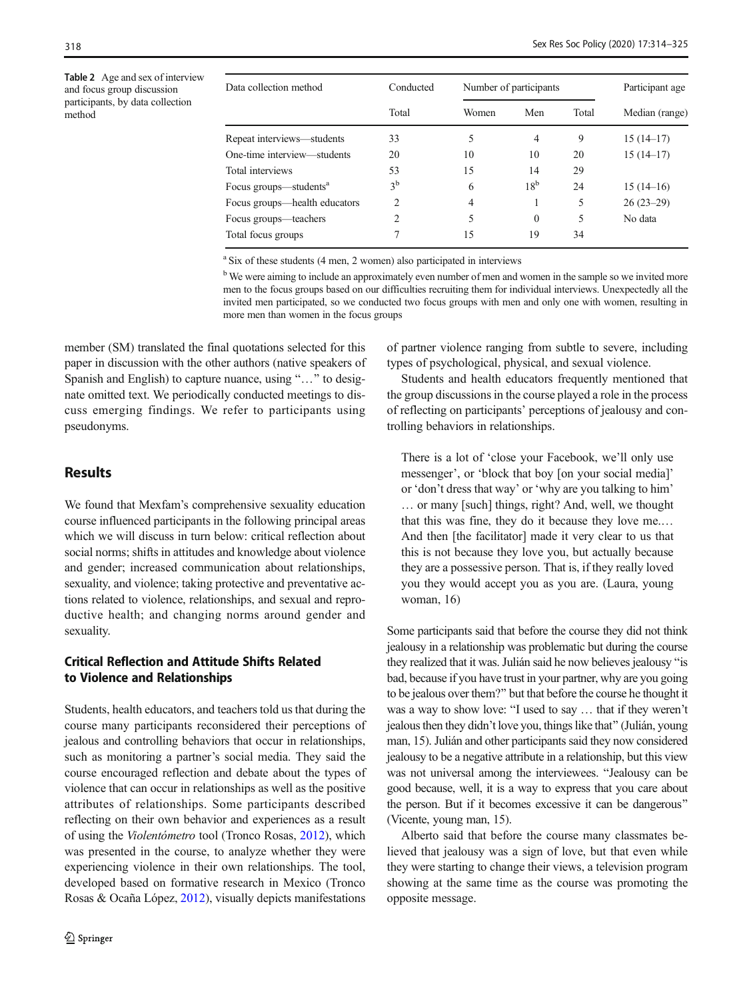<span id="page-4-0"></span>Table 2 Age and sex of interview and focus group discussion participants, by data collection method

| Data collection method             | Conducted      | Number of participants |              |       | Participant age |
|------------------------------------|----------------|------------------------|--------------|-------|-----------------|
|                                    | Total          | Women                  | Men          | Total | Median (range)  |
| Repeat interviews—students         | 33             | 5                      | 4            | 9     | $15(14-17)$     |
| One-time interview—students        | 20             | 10                     | 10           | 20    | $15(14-17)$     |
| Total interviews                   | 53             | 15                     | 14           | 29    |                 |
| Focus groups—students <sup>a</sup> | 3 <sup>b</sup> | 6                      | $18^{\rm b}$ | 24    | $15(14-16)$     |
| Focus groups-health educators      | $\mathfrak{D}$ | 4                      |              | 5     | $26(23-29)$     |
| Focus groups—teachers              | $\mathfrak{D}$ | 5                      | $\mathbf{0}$ | 5     | No data         |
| Total focus groups                 |                | 15                     | 19           | 34    |                 |

<sup>a</sup> Six of these students (4 men, 2 women) also participated in interviews

<sup>b</sup> We were aiming to include an approximately even number of men and women in the sample so we invited more men to the focus groups based on our difficulties recruiting them for individual interviews. Unexpectedly all the invited men participated, so we conducted two focus groups with men and only one with women, resulting in more men than women in the focus groups

member (SM) translated the final quotations selected for this paper in discussion with the other authors (native speakers of Spanish and English) to capture nuance, using "..." to designate omitted text. We periodically conducted meetings to discuss emerging findings. We refer to participants using pseudonyms.

#### Results

We found that Mexfam's comprehensive sexuality education course influenced participants in the following principal areas which we will discuss in turn below: critical reflection about social norms; shifts in attitudes and knowledge about violence and gender; increased communication about relationships, sexuality, and violence; taking protective and preventative actions related to violence, relationships, and sexual and reproductive health; and changing norms around gender and sexuality.

## Critical Reflection and Attitude Shifts Related to Violence and Relationships

Students, health educators, and teachers told us that during the course many participants reconsidered their perceptions of jealous and controlling behaviors that occur in relationships, such as monitoring a partner's social media. They said the course encouraged reflection and debate about the types of violence that can occur in relationships as well as the positive attributes of relationships. Some participants described reflecting on their own behavior and experiences as a result of using the Violentómetro tool (Tronco Rosas, [2012\)](#page-11-0), which was presented in the course, to analyze whether they were experiencing violence in their own relationships. The tool, developed based on formative research in Mexico (Tronco Rosas & Ocaña López, [2012](#page-11-0)), visually depicts manifestations

of partner violence ranging from subtle to severe, including types of psychological, physical, and sexual violence.

Students and health educators frequently mentioned that the group discussions in the course played a role in the process of reflecting on participants' perceptions of jealousy and controlling behaviors in relationships.

There is a lot of 'close your Facebook, we'll only use messenger', or 'block that boy [on your social media]' or 'don't dress that way' or 'why are you talking to him' … or many [such] things, right? And, well, we thought that this was fine, they do it because they love me.… And then [the facilitator] made it very clear to us that this is not because they love you, but actually because they are a possessive person. That is, if they really loved you they would accept you as you are. (Laura, young woman, 16)

Some participants said that before the course they did not think jealousy in a relationship was problematic but during the course they realized that it was. Julián said he now believes jealousy "is bad, because if you have trust in your partner, why are you going to be jealous over them?^ but that before the course he thought it was a way to show love: "I used to say ... that if they weren't jealous then they didn't love you, things like that^ (Julián, young man, 15). Julián and other participants said they now considered jealousy to be a negative attribute in a relationship, but this view was not universal among the interviewees. "Jealousy can be good because, well, it is a way to express that you care about the person. But if it becomes excessive it can be dangerous" (Vicente, young man, 15).

Alberto said that before the course many classmates believed that jealousy was a sign of love, but that even while they were starting to change their views, a television program showing at the same time as the course was promoting the opposite message.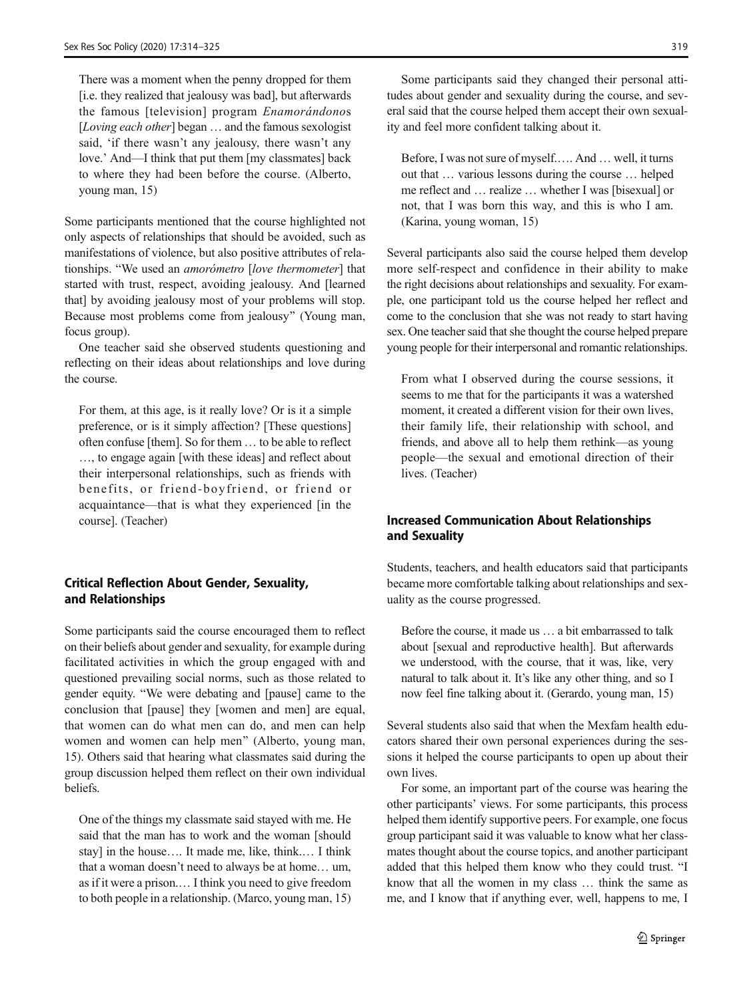There was a moment when the penny dropped for them [i.e. they realized that jealousy was bad], but afterwards the famous [television] program Enamorándonos [Loving each other] began … and the famous sexologist said, 'if there wasn't any jealousy, there wasn't any love.' And—I think that put them [my classmates] back to where they had been before the course. (Alberto, young man, 15)

Some participants mentioned that the course highlighted not only aspects of relationships that should be avoided, such as manifestations of violence, but also positive attributes of relationships. "We used an *amorómetro* [love thermometer] that started with trust, respect, avoiding jealousy. And [learned that] by avoiding jealousy most of your problems will stop. Because most problems come from jealousy" (Young man, focus group).

One teacher said she observed students questioning and reflecting on their ideas about relationships and love during the course.

For them, at this age, is it really love? Or is it a simple preference, or is it simply affection? [These questions] often confuse [them]. So for them … to be able to reflect …, to engage again [with these ideas] and reflect about their interpersonal relationships, such as friends with benefits, or friend-boyfriend, or friend or acquaintance—that is what they experienced [in the course]. (Teacher)

### Critical Reflection About Gender, Sexuality, and Relationships

Some participants said the course encouraged them to reflect on their beliefs about gender and sexuality, for example during facilitated activities in which the group engaged with and questioned prevailing social norms, such as those related to gender equity. "We were debating and [pause] came to the conclusion that [pause] they [women and men] are equal, that women can do what men can do, and men can help women and women can help men^ (Alberto, young man, 15). Others said that hearing what classmates said during the group discussion helped them reflect on their own individual beliefs.

One of the things my classmate said stayed with me. He said that the man has to work and the woman [should stay] in the house…. It made me, like, think.… I think that a woman doesn't need to always be at home… um, as if it were a prison.… I think you need to give freedom to both people in a relationship. (Marco, young man, 15)

Some participants said they changed their personal attitudes about gender and sexuality during the course, and several said that the course helped them accept their own sexuality and feel more confident talking about it.

Before, I was not sure of myself.…. And … well, it turns out that … various lessons during the course … helped me reflect and … realize … whether I was [bisexual] or not, that I was born this way, and this is who I am. (Karina, young woman, 15)

Several participants also said the course helped them develop more self-respect and confidence in their ability to make the right decisions about relationships and sexuality. For example, one participant told us the course helped her reflect and come to the conclusion that she was not ready to start having sex. One teacher said that she thought the course helped prepare young people for their interpersonal and romantic relationships.

From what I observed during the course sessions, it seems to me that for the participants it was a watershed moment, it created a different vision for their own lives, their family life, their relationship with school, and friends, and above all to help them rethink—as young people—the sexual and emotional direction of their lives. (Teacher)

#### Increased Communication About Relationships and Sexuality

Students, teachers, and health educators said that participants became more comfortable talking about relationships and sexuality as the course progressed.

Before the course, it made us … a bit embarrassed to talk about [sexual and reproductive health]. But afterwards we understood, with the course, that it was, like, very natural to talk about it. It's like any other thing, and so I now feel fine talking about it. (Gerardo, young man, 15)

Several students also said that when the Mexfam health educators shared their own personal experiences during the sessions it helped the course participants to open up about their own lives.

For some, an important part of the course was hearing the other participants' views. For some participants, this process helped them identify supportive peers. For example, one focus group participant said it was valuable to know what her classmates thought about the course topics, and another participant added that this helped them know who they could trust. "I know that all the women in my class … think the same as me, and I know that if anything ever, well, happens to me, I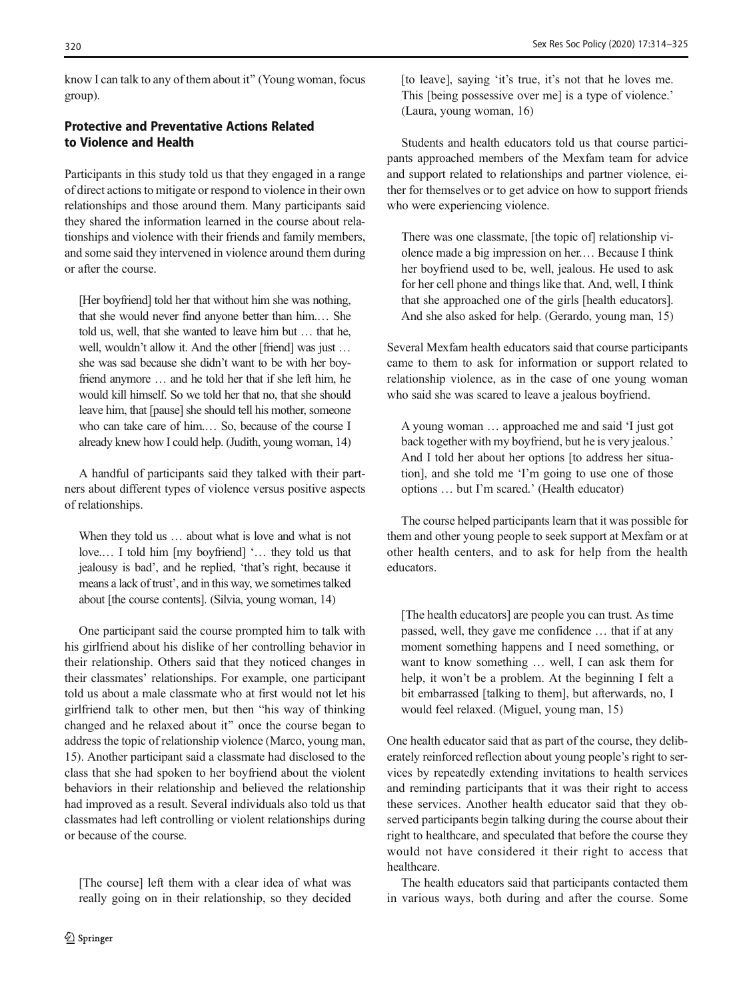know I can talk to any of them about it" (Young woman, focus group).

# Protective and Preventative Actions Related to Violence and Health

Participants in this study told us that they engaged in a range of direct actions to mitigate or respond to violence in their own relationships and those around them. Many participants said they shared the information learned in the course about relationships and violence with their friends and family members, and some said they intervened in violence around them during or after the course.

[Her boyfriend] told her that without him she was nothing, that she would never find anyone better than him.… She told us, well, that she wanted to leave him but … that he, well, wouldn't allow it. And the other [friend] was just ... she was sad because she didn't want to be with her boyfriend anymore … and he told her that if she left him, he would kill himself. So we told her that no, that she should leave him, that [pause] she should tell his mother, someone who can take care of him.… So, because of the course I already knew how I could help. (Judith, young woman, 14)

A handful of participants said they talked with their partners about different types of violence versus positive aspects of relationships.

When they told us … about what is love and what is not love.… I told him [my boyfriend] '… they told us that jealousy is bad', and he replied, 'that's right, because it means a lack of trust', and in this way, we sometimes talked about [the course contents]. (Silvia, young woman, 14)

One participant said the course prompted him to talk with his girlfriend about his dislike of her controlling behavior in their relationship. Others said that they noticed changes in their classmates' relationships. For example, one participant told us about a male classmate who at first would not let his girlfriend talk to other men, but then "his way of thinking changed and he relaxed about it" once the course began to address the topic of relationship violence (Marco, young man, 15). Another participant said a classmate had disclosed to the class that she had spoken to her boyfriend about the violent behaviors in their relationship and believed the relationship had improved as a result. Several individuals also told us that classmates had left controlling or violent relationships during or because of the course.

[The course] left them with a clear idea of what was really going on in their relationship, so they decided [to leave], saying 'it's true, it's not that he loves me. This [being possessive over me] is a type of violence.' (Laura, young woman, 16)

Students and health educators told us that course participants approached members of the Mexfam team for advice and support related to relationships and partner violence, either for themselves or to get advice on how to support friends who were experiencing violence.

There was one classmate, [the topic of] relationship violence made a big impression on her.… Because I think her boyfriend used to be, well, jealous. He used to ask for her cell phone and things like that. And, well, I think that she approached one of the girls [health educators]. And she also asked for help. (Gerardo, young man, 15)

Several Mexfam health educators said that course participants came to them to ask for information or support related to relationship violence, as in the case of one young woman who said she was scared to leave a jealous boyfriend.

A young woman … approached me and said 'I just got back together with my boyfriend, but he is very jealous.' And I told her about her options [to address her situation], and she told me 'I'm going to use one of those options … but I'm scared.' (Health educator)

The course helped participants learn that it was possible for them and other young people to seek support at Mexfam or at other health centers, and to ask for help from the health educators.

[The health educators] are people you can trust. As time passed, well, they gave me confidence … that if at any moment something happens and I need something, or want to know something … well, I can ask them for help, it won't be a problem. At the beginning I felt a bit embarrassed [talking to them], but afterwards, no, I would feel relaxed. (Miguel, young man, 15)

One health educator said that as part of the course, they deliberately reinforced reflection about young people's right to services by repeatedly extending invitations to health services and reminding participants that it was their right to access these services. Another health educator said that they observed participants begin talking during the course about their right to healthcare, and speculated that before the course they would not have considered it their right to access that healthcare.

The health educators said that participants contacted them in various ways, both during and after the course. Some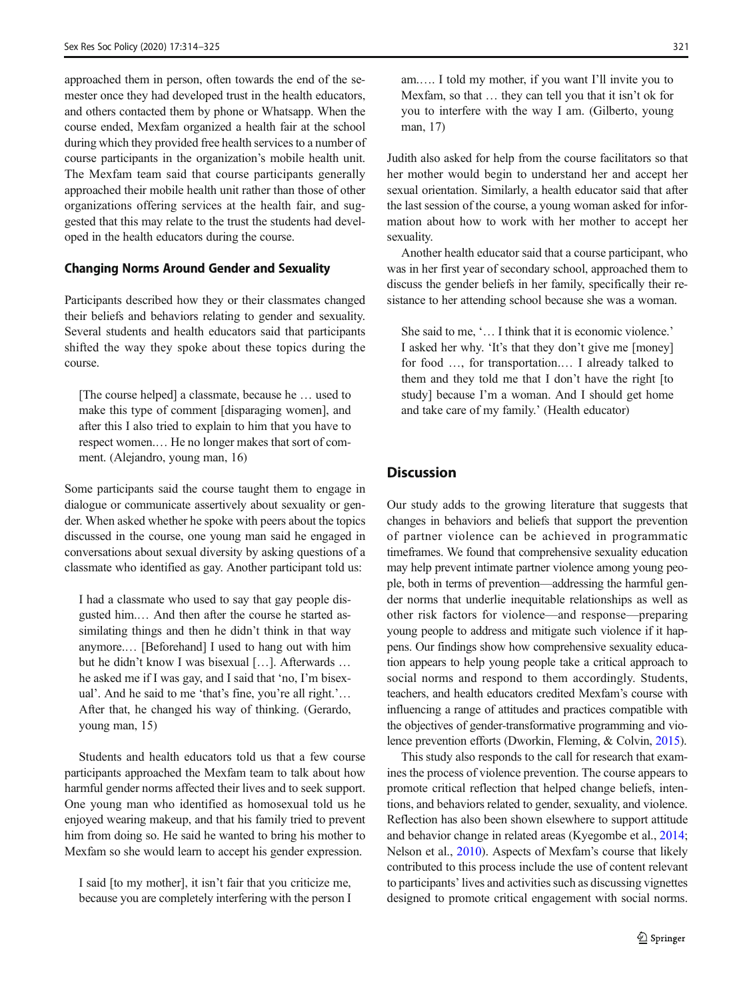approached them in person, often towards the end of the semester once they had developed trust in the health educators, and others contacted them by phone or Whatsapp. When the course ended, Mexfam organized a health fair at the school during which they provided free health services to a number of course participants in the organization's mobile health unit. The Mexfam team said that course participants generally approached their mobile health unit rather than those of other organizations offering services at the health fair, and suggested that this may relate to the trust the students had developed in the health educators during the course.

#### Changing Norms Around Gender and Sexuality

Participants described how they or their classmates changed their beliefs and behaviors relating to gender and sexuality. Several students and health educators said that participants shifted the way they spoke about these topics during the course.

[The course helped] a classmate, because he … used to make this type of comment [disparaging women], and after this I also tried to explain to him that you have to respect women.… He no longer makes that sort of comment. (Alejandro, young man, 16)

Some participants said the course taught them to engage in dialogue or communicate assertively about sexuality or gender. When asked whether he spoke with peers about the topics discussed in the course, one young man said he engaged in conversations about sexual diversity by asking questions of a classmate who identified as gay. Another participant told us:

I had a classmate who used to say that gay people disgusted him.… And then after the course he started assimilating things and then he didn't think in that way anymore.… [Beforehand] I used to hang out with him but he didn't know I was bisexual […]. Afterwards … he asked me if I was gay, and I said that 'no, I'm bisexual'. And he said to me 'that's fine, you're all right.'… After that, he changed his way of thinking. (Gerardo, young man, 15)

Students and health educators told us that a few course participants approached the Mexfam team to talk about how harmful gender norms affected their lives and to seek support. One young man who identified as homosexual told us he enjoyed wearing makeup, and that his family tried to prevent him from doing so. He said he wanted to bring his mother to Mexfam so she would learn to accept his gender expression.

I said [to my mother], it isn't fair that you criticize me, because you are completely interfering with the person I am.…. I told my mother, if you want I'll invite you to Mexfam, so that … they can tell you that it isn't ok for you to interfere with the way I am. (Gilberto, young man, 17)

Judith also asked for help from the course facilitators so that her mother would begin to understand her and accept her sexual orientation. Similarly, a health educator said that after the last session of the course, a young woman asked for information about how to work with her mother to accept her sexuality.

Another health educator said that a course participant, who was in her first year of secondary school, approached them to discuss the gender beliefs in her family, specifically their resistance to her attending school because she was a woman.

She said to me, '… I think that it is economic violence.' I asked her why. 'It's that they don't give me [money] for food …, for transportation.… I already talked to them and they told me that I don't have the right [to study] because I'm a woman. And I should get home and take care of my family.' (Health educator)

#### **Discussion**

Our study adds to the growing literature that suggests that changes in behaviors and beliefs that support the prevention of partner violence can be achieved in programmatic timeframes. We found that comprehensive sexuality education may help prevent intimate partner violence among young people, both in terms of prevention—addressing the harmful gender norms that underlie inequitable relationships as well as other risk factors for violence—and response—preparing young people to address and mitigate such violence if it happens. Our findings show how comprehensive sexuality education appears to help young people take a critical approach to social norms and respond to them accordingly. Students, teachers, and health educators credited Mexfam's course with influencing a range of attitudes and practices compatible with the objectives of gender-transformative programming and violence prevention efforts (Dworkin, Fleming, & Colvin, [2015\)](#page-10-0).

This study also responds to the call for research that examines the process of violence prevention. The course appears to promote critical reflection that helped change beliefs, intentions, and behaviors related to gender, sexuality, and violence. Reflection has also been shown elsewhere to support attitude and behavior change in related areas (Kyegombe et al., [2014;](#page-10-0) Nelson et al., [2010\)](#page-11-0). Aspects of Mexfam's course that likely contributed to this process include the use of content relevant to participants' lives and activities such as discussing vignettes designed to promote critical engagement with social norms.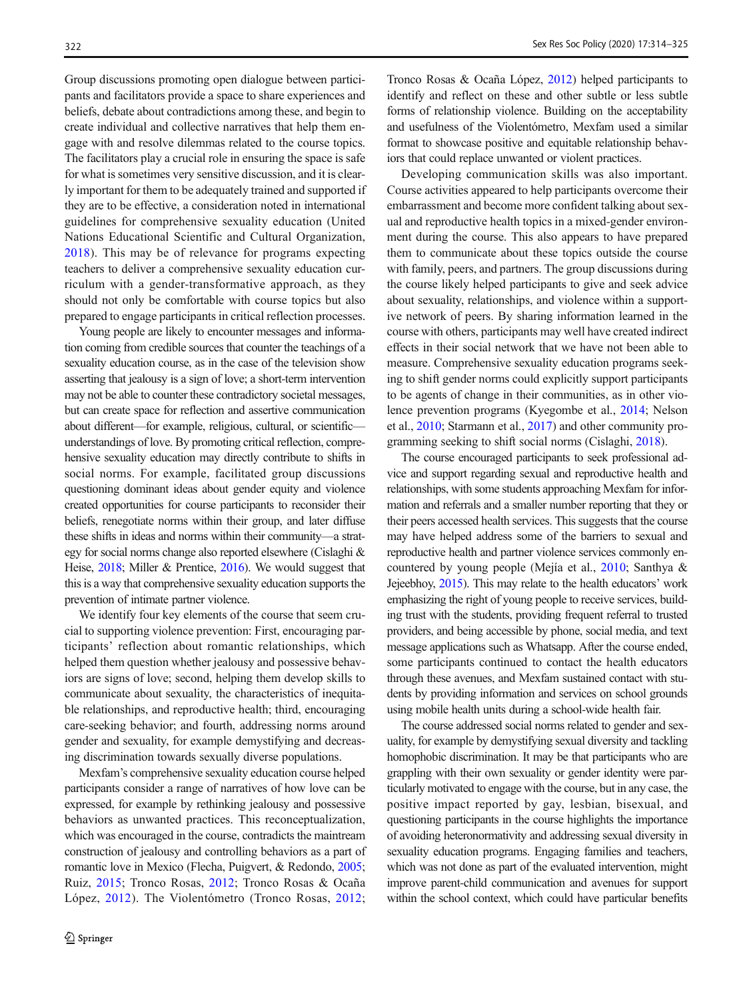Group discussions promoting open dialogue between participants and facilitators provide a space to share experiences and beliefs, debate about contradictions among these, and begin to create individual and collective narratives that help them engage with and resolve dilemmas related to the course topics. The facilitators play a crucial role in ensuring the space is safe for what is sometimes very sensitive discussion, and it is clearly important for them to be adequately trained and supported if they are to be effective, a consideration noted in international guidelines for comprehensive sexuality education (United Nations Educational Scientific and Cultural Organization, [2018](#page-11-0)). This may be of relevance for programs expecting teachers to deliver a comprehensive sexuality education curriculum with a gender-transformative approach, as they should not only be comfortable with course topics but also prepared to engage participants in critical reflection processes.

Young people are likely to encounter messages and information coming from credible sources that counter the teachings of a sexuality education course, as in the case of the television show asserting that jealousy is a sign of love; a short-term intervention may not be able to counter these contradictory societal messages, but can create space for reflection and assertive communication about different—for example, religious, cultural, or scientific understandings of love. By promoting critical reflection, comprehensive sexuality education may directly contribute to shifts in social norms. For example, facilitated group discussions questioning dominant ideas about gender equity and violence created opportunities for course participants to reconsider their beliefs, renegotiate norms within their group, and later diffuse these shifts in ideas and norms within their community—a strategy for social norms change also reported elsewhere (Cislaghi & Heise, [2018](#page-10-0); Miller & Prentice, [2016](#page-11-0)). We would suggest that this is a way that comprehensive sexuality education supports the prevention of intimate partner violence.

We identify four key elements of the course that seem crucial to supporting violence prevention: First, encouraging participants' reflection about romantic relationships, which helped them question whether jealousy and possessive behaviors are signs of love; second, helping them develop skills to communicate about sexuality, the characteristics of inequitable relationships, and reproductive health; third, encouraging care-seeking behavior; and fourth, addressing norms around gender and sexuality, for example demystifying and decreasing discrimination towards sexually diverse populations.

Mexfam's comprehensive sexuality education course helped participants consider a range of narratives of how love can be expressed, for example by rethinking jealousy and possessive behaviors as unwanted practices. This reconceptualization, which was encouraged in the course, contradicts the maintream construction of jealousy and controlling behaviors as a part of romantic love in Mexico (Flecha, Puigvert, & Redondo, [2005](#page-10-0); Ruiz, [2015](#page-11-0); Tronco Rosas, [2012](#page-11-0); Tronco Rosas & Ocaña López, [2012](#page-11-0)). The Violentómetro (Tronco Rosas, [2012](#page-11-0);

Tronco Rosas & Ocaña López, [2012\)](#page-11-0) helped participants to identify and reflect on these and other subtle or less subtle forms of relationship violence. Building on the acceptability and usefulness of the Violentómetro, Mexfam used a similar format to showcase positive and equitable relationship behaviors that could replace unwanted or violent practices.

Developing communication skills was also important. Course activities appeared to help participants overcome their embarrassment and become more confident talking about sexual and reproductive health topics in a mixed-gender environment during the course. This also appears to have prepared them to communicate about these topics outside the course with family, peers, and partners. The group discussions during the course likely helped participants to give and seek advice about sexuality, relationships, and violence within a supportive network of peers. By sharing information learned in the course with others, participants may well have created indirect effects in their social network that we have not been able to measure. Comprehensive sexuality education programs seeking to shift gender norms could explicitly support participants to be agents of change in their communities, as in other violence prevention programs (Kyegombe et al., [2014](#page-10-0); Nelson et al., [2010](#page-11-0); Starmann et al., [2017\)](#page-11-0) and other community programming seeking to shift social norms (Cislaghi, [2018\)](#page-10-0).

The course encouraged participants to seek professional advice and support regarding sexual and reproductive health and relationships, with some students approaching Mexfam for information and referrals and a smaller number reporting that they or their peers accessed health services. This suggests that the course may have helped address some of the barriers to sexual and reproductive health and partner violence services commonly encountered by young people (Mejía et al., [2010;](#page-11-0) Santhya & Jejeebhoy, [2015](#page-11-0)). This may relate to the health educators' work emphasizing the right of young people to receive services, building trust with the students, providing frequent referral to trusted providers, and being accessible by phone, social media, and text message applications such as Whatsapp. After the course ended, some participants continued to contact the health educators through these avenues, and Mexfam sustained contact with students by providing information and services on school grounds using mobile health units during a school-wide health fair.

The course addressed social norms related to gender and sexuality, for example by demystifying sexual diversity and tackling homophobic discrimination. It may be that participants who are grappling with their own sexuality or gender identity were particularly motivated to engage with the course, but in any case, the positive impact reported by gay, lesbian, bisexual, and questioning participants in the course highlights the importance of avoiding heteronormativity and addressing sexual diversity in sexuality education programs. Engaging families and teachers, which was not done as part of the evaluated intervention, might improve parent-child communication and avenues for support within the school context, which could have particular benefits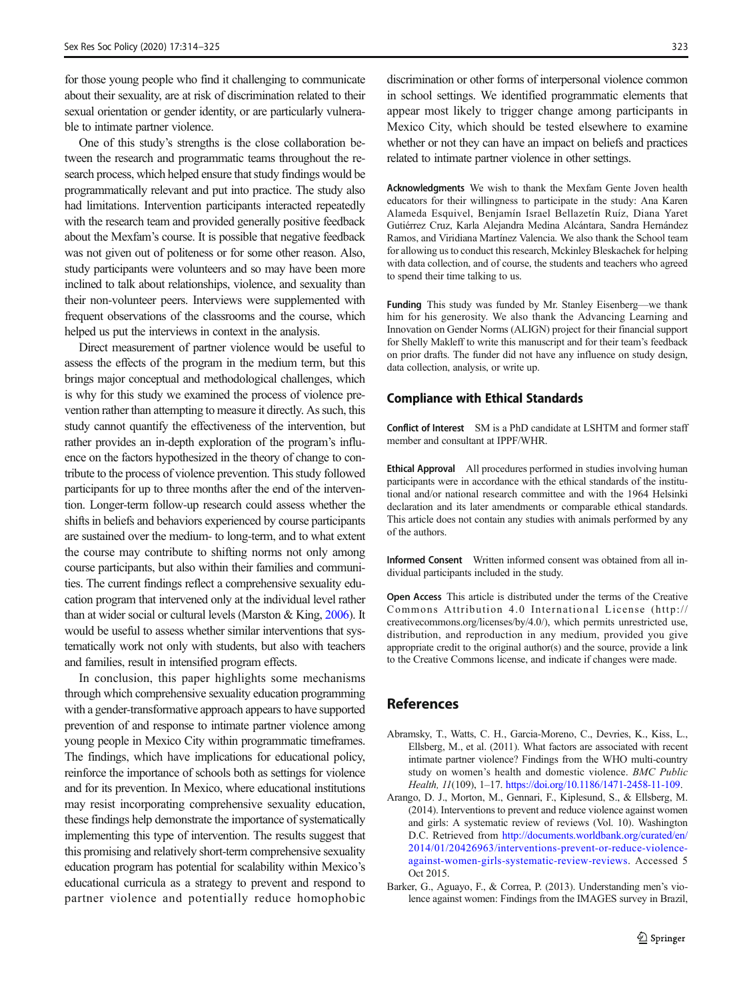<span id="page-9-0"></span>for those young people who find it challenging to communicate about their sexuality, are at risk of discrimination related to their sexual orientation or gender identity, or are particularly vulnerable to intimate partner violence.

One of this study's strengths is the close collaboration between the research and programmatic teams throughout the research process, which helped ensure that study findings would be programmatically relevant and put into practice. The study also had limitations. Intervention participants interacted repeatedly with the research team and provided generally positive feedback about the Mexfam's course. It is possible that negative feedback was not given out of politeness or for some other reason. Also, study participants were volunteers and so may have been more inclined to talk about relationships, violence, and sexuality than their non-volunteer peers. Interviews were supplemented with frequent observations of the classrooms and the course, which helped us put the interviews in context in the analysis.

Direct measurement of partner violence would be useful to assess the effects of the program in the medium term, but this brings major conceptual and methodological challenges, which is why for this study we examined the process of violence prevention rather than attempting to measure it directly. As such, this study cannot quantify the effectiveness of the intervention, but rather provides an in-depth exploration of the program's influence on the factors hypothesized in the theory of change to contribute to the process of violence prevention. This study followed participants for up to three months after the end of the intervention. Longer-term follow-up research could assess whether the shifts in beliefs and behaviors experienced by course participants are sustained over the medium- to long-term, and to what extent the course may contribute to shifting norms not only among course participants, but also within their families and communities. The current findings reflect a comprehensive sexuality education program that intervened only at the individual level rather than at wider social or cultural levels (Marston & King, [2006](#page-11-0)). It would be useful to assess whether similar interventions that systematically work not only with students, but also with teachers and families, result in intensified program effects.

In conclusion, this paper highlights some mechanisms through which comprehensive sexuality education programming with a gender-transformative approach appears to have supported prevention of and response to intimate partner violence among young people in Mexico City within programmatic timeframes. The findings, which have implications for educational policy, reinforce the importance of schools both as settings for violence and for its prevention. In Mexico, where educational institutions may resist incorporating comprehensive sexuality education, these findings help demonstrate the importance of systematically implementing this type of intervention. The results suggest that this promising and relatively short-term comprehensive sexuality education program has potential for scalability within Mexico's educational curricula as a strategy to prevent and respond to partner violence and potentially reduce homophobic

discrimination or other forms of interpersonal violence common in school settings. We identified programmatic elements that appear most likely to trigger change among participants in Mexico City, which should be tested elsewhere to examine whether or not they can have an impact on beliefs and practices related to intimate partner violence in other settings.

Acknowledgments We wish to thank the Mexfam Gente Joven health educators for their willingness to participate in the study: Ana Karen Alameda Esquivel, Benjamín Israel Bellazetín Ruíz, Diana Yaret Gutiérrez Cruz, Karla Alejandra Medina Alcántara, Sandra Hernández Ramos, and Viridiana Martínez Valencia. We also thank the School team for allowing us to conduct this research, Mckinley Bleskachek for helping with data collection, and of course, the students and teachers who agreed to spend their time talking to us.

Funding This study was funded by Mr. Stanley Eisenberg—we thank him for his generosity. We also thank the Advancing Learning and Innovation on Gender Norms (ALIGN) project for their financial support for Shelly Makleff to write this manuscript and for their team's feedback on prior drafts. The funder did not have any influence on study design, data collection, analysis, or write up.

#### Compliance with Ethical Standards

Conflict of Interest SM is a PhD candidate at LSHTM and former staff member and consultant at IPPF/WHR.

Ethical Approval All procedures performed in studies involving human participants were in accordance with the ethical standards of the institutional and/or national research committee and with the 1964 Helsinki declaration and its later amendments or comparable ethical standards. This article does not contain any studies with animals performed by any of the authors.

Informed Consent Written informed consent was obtained from all individual participants included in the study.

Open Access This article is distributed under the terms of the Creative Commons Attribution 4.0 International License (http:// creativecommons.org/licenses/by/4.0/), which permits unrestricted use, distribution, and reproduction in any medium, provided you give appropriate credit to the original author(s) and the source, provide a link to the Creative Commons license, and indicate if changes were made.

## **References**

- Abramsky, T., Watts, C. H., Garcia-Moreno, C., Devries, K., Kiss, L., Ellsberg, M., et al. (2011). What factors are associated with recent intimate partner violence? Findings from the WHO multi-country study on women's health and domestic violence. BMC Public Health, 11(109), 1–17. <https://doi.org/10.1186/1471-2458-11-109>.
- Arango, D. J., Morton, M., Gennari, F., Kiplesund, S., & Ellsberg, M. (2014). Interventions to prevent and reduce violence against women and girls: A systematic review of reviews (Vol. 10). Washington D.C. Retrieved from [http://documents.worldbank.org/curated/en/](http://documents.worldbank.org/curated/en/2014/01/20426963/interventions-prevent-or-reduce-violence-against-women-girls-systematic-review-reviews) [2014/01/20426963/interventions-prevent-or-reduce-violence](http://documents.worldbank.org/curated/en/2014/01/20426963/interventions-prevent-or-reduce-violence-against-women-girls-systematic-review-reviews)[against-women-girls-systematic-review-reviews.](http://documents.worldbank.org/curated/en/2014/01/20426963/interventions-prevent-or-reduce-violence-against-women-girls-systematic-review-reviews) Accessed 5 Oct 2015.
- Barker, G., Aguayo, F., & Correa, P. (2013). Understanding men's violence against women: Findings from the IMAGES survey in Brazil,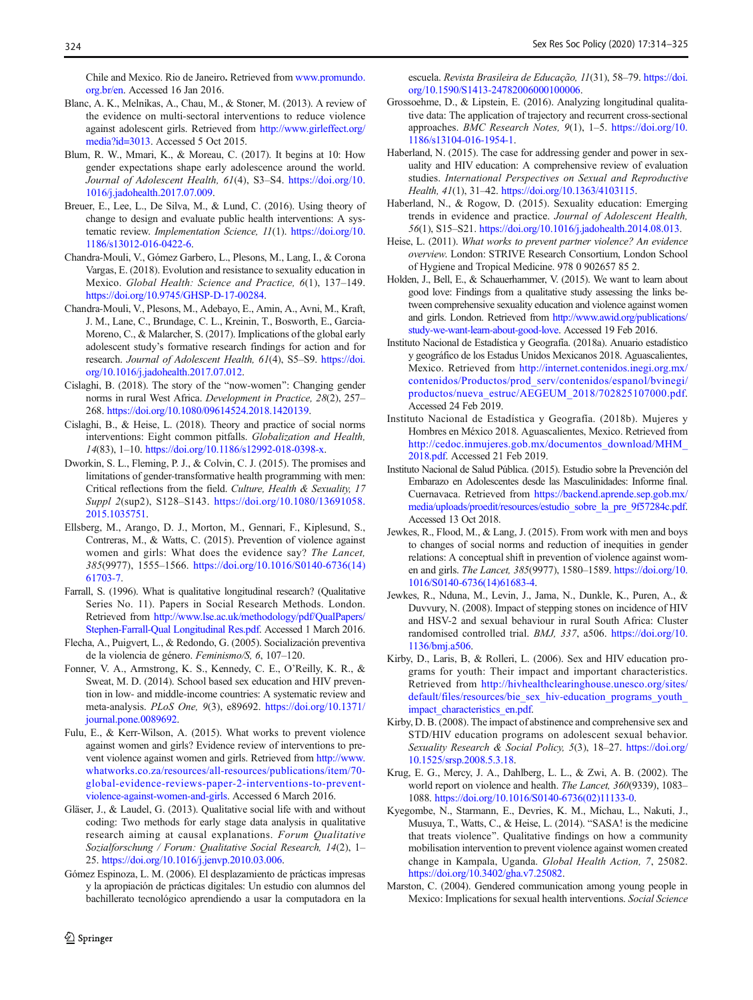<span id="page-10-0"></span>Chile and Mexico. Rio de Janeiro. Retrieved from [www.promundo.](http://www.promundo.org.br/en) [org.br/en.](http://www.promundo.org.br/en) Accessed 16 Jan 2016.

- Blanc, A. K., Melnikas, A., Chau, M., & Stoner, M. (2013). A review of the evidence on multi-sectoral interventions to reduce violence against adolescent girls. Retrieved from [http://www.girleffect.org/](http://www.girleffect.org/media?id=3013) [media?id=3013](http://www.girleffect.org/media?id=3013). Accessed 5 Oct 2015.
- Blum, R. W., Mmari, K., & Moreau, C. (2017). It begins at 10: How gender expectations shape early adolescence around the world. Journal of Adolescent Health, 61(4), S3–S4. [https://doi.org/10.](https://doi.org/10.1016/j.jadohealth.2017.07.009) [1016/j.jadohealth.2017.07.009](https://doi.org/10.1016/j.jadohealth.2017.07.009).
- Breuer, E., Lee, L., De Silva, M., & Lund, C. (2016). Using theory of change to design and evaluate public health interventions: A systematic review. Implementation Science, 11(1). [https://doi.org/10.](https://doi.org/10.1186/s13012-016-0422-6) [1186/s13012-016-0422-6](https://doi.org/10.1186/s13012-016-0422-6).
- Chandra-Mouli, V., Gómez Garbero, L., Plesons, M., Lang, I., & Corona Vargas, E. (2018). Evolution and resistance to sexuality education in Mexico. Global Health: Science and Practice, 6(1), 137–149. [https://doi.org/10.9745/GHSP-D-17-00284.](https://doi.org/10.9745/GHSP-D-17-00284)
- Chandra-Mouli, V., Plesons, M., Adebayo, E., Amin, A., Avni, M., Kraft, J. M., Lane, C., Brundage, C. L., Kreinin, T., Bosworth, E., Garcia-Moreno, C., & Malarcher, S. (2017). Implications of the global early adolescent study's formative research findings for action and for research. Journal of Adolescent Health, 61(4), S5-S9. [https://doi.](https://doi.org/10.1016/j.jadohealth.2017.07.012) [org/10.1016/j.jadohealth.2017.07.012](https://doi.org/10.1016/j.jadohealth.2017.07.012).
- Cislaghi, B. (2018). The story of the "now-women": Changing gender norms in rural West Africa. Development in Practice, 28(2), 257– 268. <https://doi.org/10.1080/09614524.2018.1420139>.
- Cislaghi, B., & Heise, L. (2018). Theory and practice of social norms interventions: Eight common pitfalls. Globalization and Health, 14(83), 1–10. <https://doi.org/10.1186/s12992-018-0398-x>.
- Dworkin, S. L., Fleming, P. J., & Colvin, C. J. (2015). The promises and limitations of gender-transformative health programming with men: Critical reflections from the field. Culture, Health & Sexuality, 17 Suppl 2(sup2), S128–S143. [https://doi.org/10.1080/13691058.](https://doi.org/10.1080/13691058.2015.1035751) [2015.1035751](https://doi.org/10.1080/13691058.2015.1035751).
- Ellsberg, M., Arango, D. J., Morton, M., Gennari, F., Kiplesund, S., Contreras, M., & Watts, C. (2015). Prevention of violence against women and girls: What does the evidence say? The Lancet, 385(9977), 1555–1566. [https://doi.org/10.1016/S0140-6736\(14\)](https://doi.org/10.1016/S0140-6736(14)61703-7) [61703-7](https://doi.org/10.1016/S0140-6736(14)61703-7).
- Farrall, S. (1996). What is qualitative longitudinal research? (Qualitative Series No. 11). Papers in Social Research Methods. London. Retrieved from [http://www.lse.ac.uk/methodology/pdf/QualPapers/](http://www.lse.ac.uk/methodology/pdf/QualPapers/Stephen-Farrall-Qual%20Longitudinal%20Res.pdf) [Stephen-Farrall-Qual Longitudinal Res.pdf](http://www.lse.ac.uk/methodology/pdf/QualPapers/Stephen-Farrall-Qual%20Longitudinal%20Res.pdf). Accessed 1 March 2016.
- Flecha, A., Puigvert, L., & Redondo, G. (2005). Socialización preventiva de la violencia de género. Feminismo/S, 6, 107–120.
- Fonner, V. A., Armstrong, K. S., Kennedy, C. E., O'Reilly, K. R., & Sweat, M. D. (2014). School based sex education and HIV prevention in low- and middle-income countries: A systematic review and meta-analysis. PLoS One, 9(3), e89692. [https://doi.org/10.1371/](https://doi.org/10.1371/journal.pone.0089692) [journal.pone.0089692.](https://doi.org/10.1371/journal.pone.0089692)
- Fulu, E., & Kerr-Wilson, A. (2015). What works to prevent violence against women and girls? Evidence review of interventions to prevent violence against women and girls. Retrieved from [http://www.](http://www.whatworks.co.za/resources/all-resources/publications/item/70-global-evidence-reviews-paper-2-interventions-to-prevent-violence-against-women-and-girls) [whatworks.co.za/resources/all-resources/publications/item/70](http://www.whatworks.co.za/resources/all-resources/publications/item/70-global-evidence-reviews-paper-2-interventions-to-prevent-violence-against-women-and-girls) [global-evidence-reviews-paper-2-interventions-to-prevent](http://www.whatworks.co.za/resources/all-resources/publications/item/70-global-evidence-reviews-paper-2-interventions-to-prevent-violence-against-women-and-girls)[violence-against-women-and-girls.](http://www.whatworks.co.za/resources/all-resources/publications/item/70-global-evidence-reviews-paper-2-interventions-to-prevent-violence-against-women-and-girls) Accessed 6 March 2016.
- Gläser, J., & Laudel, G. (2013). Qualitative social life with and without coding: Two methods for early stage data analysis in qualitative research aiming at causal explanations. Forum Qualitative Sozialforschung / Forum: Qualitative Social Research, 14(2), 1– 25. <https://doi.org/10.1016/j.jenvp.2010.03.006>.
- Gómez Espinoza, L. M. (2006). El desplazamiento de prácticas impresas y la apropiación de prácticas digitales: Un estudio con alumnos del bachillerato tecnológico aprendiendo a usar la computadora en la

<u>4</u> Springer

escuela. Revista Brasileira de Educação, 11(31), 58–79. [https://doi.](https://doi.org/10.1590/S1413-24782006000100006) [org/10.1590/S1413-24782006000100006](https://doi.org/10.1590/S1413-24782006000100006).

- Grossoehme, D., & Lipstein, E. (2016). Analyzing longitudinal qualitative data: The application of trajectory and recurrent cross-sectional approaches. BMC Research Notes, 9(1), 1-5. [https://doi.org/10.](https://doi.org/10.1186/s13104-016-1954-1) [1186/s13104-016-1954-1](https://doi.org/10.1186/s13104-016-1954-1).
- Haberland, N. (2015). The case for addressing gender and power in sexuality and HIV education: A comprehensive review of evaluation studies. International Perspectives on Sexual and Reproductive Health, 41(1), 31–42. <https://doi.org/10.1363/4103115>.
- Haberland, N., & Rogow, D. (2015). Sexuality education: Emerging trends in evidence and practice. Journal of Adolescent Health, 56(1), S15–S21. [https://doi.org/10.1016/j.jadohealth.2014.08.013.](https://doi.org/10.1016/j.jadohealth.2014.08.013)
- Heise, L. (2011). What works to prevent partner violence? An evidence overview. London: STRIVE Research Consortium, London School of Hygiene and Tropical Medicine. 978 0 902657 85 2.
- Holden, J., Bell, E., & Schauerhammer, V. (2015). We want to learn about good love: Findings from a qualitative study assessing the links between comprehensive sexuality education and violence against women and girls. London. Retrieved from [http://www.awid.org/publications/](http://www.awid.org/publications/study-we-want-learn-about-good-love) [study-we-want-learn-about-good-love.](http://www.awid.org/publications/study-we-want-learn-about-good-love) Accessed 19 Feb 2016.
- Instituto Nacional de Estadística y Geografía. (2018a). Anuario estadístico y geográfico de los Estadus Unidos Mexicanos 2018. Aguascalientes, Mexico. Retrieved from [http://internet.contenidos.inegi.org.mx/](http://internet.contenidos.inegi.org.mx/contenidos/Productos/prod_serv/contenidos/espanol/bvinegi/productos/nueva_estruc/AEGEUM_2018/702825107000.pdf) [contenidos/Productos/prod\\_serv/contenidos/espanol/bvinegi/](http://internet.contenidos.inegi.org.mx/contenidos/Productos/prod_serv/contenidos/espanol/bvinegi/productos/nueva_estruc/AEGEUM_2018/702825107000.pdf) [productos/nueva\\_estruc/AEGEUM\\_2018/702825107000.pdf](http://internet.contenidos.inegi.org.mx/contenidos/Productos/prod_serv/contenidos/espanol/bvinegi/productos/nueva_estruc/AEGEUM_2018/702825107000.pdf). Accessed 24 Feb 2019.
- Instituto Nacional de Estadística y Geografía. (2018b). Mujeres y Hombres en México 2018. Aguascalientes, Mexico. Retrieved from [http://cedoc.inmujeres.gob.mx/documentos\\_download/MHM\\_](http://cedoc.inmujeres.gob.mx/documentos_download/MHM_2018.pdf) [2018.pdf.](http://cedoc.inmujeres.gob.mx/documentos_download/MHM_2018.pdf) Accessed 21 Feb 2019.
- Instituto Nacional de Salud Pública. (2015). Estudio sobre la Prevención del Embarazo en Adolescentes desde las Masculinidades: Informe final. Cuernavaca. Retrieved from [https://backend.aprende.sep.gob.mx/](https://backend.aprende.sep.gob.mx/media/uploads/proedit/resources/estudio_sobre_la_pre_9f57284c.pdf) [media/uploads/proedit/resources/estudio\\_sobre\\_la\\_pre\\_9f57284c.pdf](https://backend.aprende.sep.gob.mx/media/uploads/proedit/resources/estudio_sobre_la_pre_9f57284c.pdf). Accessed 13 Oct 2018.
- Jewkes, R., Flood, M., & Lang, J. (2015). From work with men and boys to changes of social norms and reduction of inequities in gender relations: A conceptual shift in prevention of violence against women and girls. The Lancet, 385(9977), 1580–1589. [https://doi.org/10.](https://doi.org/10.1016/S0140-6736(14)61683-4) [1016/S0140-6736\(14\)61683-4](https://doi.org/10.1016/S0140-6736(14)61683-4).
- Jewkes, R., Nduna, M., Levin, J., Jama, N., Dunkle, K., Puren, A., & Duvvury, N. (2008). Impact of stepping stones on incidence of HIV and HSV-2 and sexual behaviour in rural South Africa: Cluster randomised controlled trial. BMJ, 337, a506. [https://doi.org/10.](https://doi.org/10.1136/bmj.a506) [1136/bmj.a506](https://doi.org/10.1136/bmj.a506).
- Kirby, D., Laris, B, & Rolleri, L. (2006). Sex and HIV education programs for youth: Their impact and important characteristics. Retrieved from [http://hivhealthclearinghouse.unesco.org/sites/](http://hivhealthclearinghouse.unesco.org/sites/default/files/resources/bie_sex_hiv-education_programs_youth_impact_characteristics_en.pdf) [default/files/resources/bie\\_sex\\_hiv-education\\_programs\\_youth\\_](http://hivhealthclearinghouse.unesco.org/sites/default/files/resources/bie_sex_hiv-education_programs_youth_impact_characteristics_en.pdf) impact characteristics en.pdf.
- Kirby, D. B. (2008). The impact of abstinence and comprehensive sex and STD/HIV education programs on adolescent sexual behavior. Sexuality Research & Social Policy, 5(3), 18-27. [https://doi.org/](https://doi.org/10.1525/srsp.2008.5.3.18) [10.1525/srsp.2008.5.3.18](https://doi.org/10.1525/srsp.2008.5.3.18).
- Krug, E. G., Mercy, J. A., Dahlberg, L. L., & Zwi, A. B. (2002). The world report on violence and health. The Lancet, 360(9339), 1083– 1088. [https://doi.org/10.1016/S0140-6736\(02\)11133-0.](https://doi.org/10.1016/S0140-6736(02)11133-0)
- Kyegombe, N., Starmann, E., Devries, K. M., Michau, L., Nakuti, J., Musuya, T., Watts, C., & Heise, L. (2014). "SASA! is the medicine that treats violence^. Qualitative findings on how a community mobilisation intervention to prevent violence against women created change in Kampala, Uganda. Global Health Action, 7, 25082. [https://doi.org/10.3402/gha.v7.25082.](https://doi.org/10.3402/gha.v7.25082)
- Marston, C. (2004). Gendered communication among young people in Mexico: Implications for sexual health interventions. Social Science